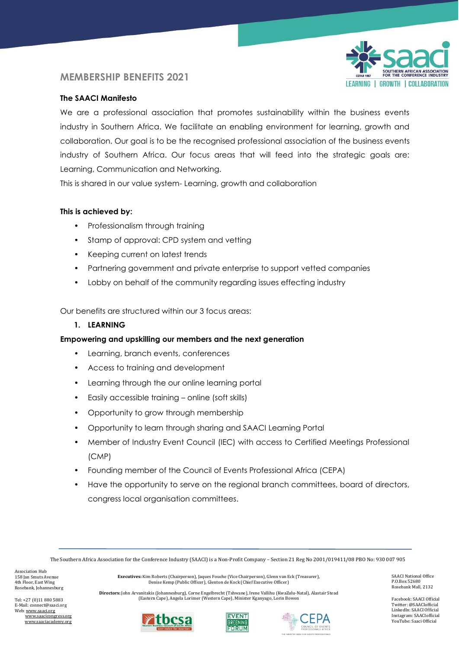# **MEMBERSHIP BENEFITS 2021**



#### **The SAACI Manifesto**

We are a professional association that promotes sustainability within the business events industry in Southern Africa. We facilitate an enabling environment for learning, growth and collaboration. Our goal is to be the recognised professional association of the business events industry of Southern Africa. Our focus areas that will feed into the strategic goals are: Learning, Communication and Networking.

This is shared in our value system- Learning, growth and collaboration

#### **This is achieved by:**

- Professionalism through training
- Stamp of approval: CPD system and vetting
- Keeping current on latest trends
- Partnering government and private enterprise to support vetted companies
- Lobby on behalf of the community regarding issues effecting industry

Our benefits are structured within our 3 focus areas:

**1. LEARNING** 

## **Empowering and upskilling our members and the next generation**

- Learning, branch events, conferences
- Access to training and development
- Learning through the our online learning portal
- Easily accessible training online (soft skills)
- Opportunity to grow through membership
- Opportunity to learn through sharing and SAACI Learning Portal
- Member of Industry Event Council (IEC) with access to Certified Meetings Professional (CMP)
- Founding member of the Council of Events Professional Africa (CEPA)
- Have the opportunity to serve on the regional branch committees, board of directors, congress local organisation committees.

The Southern Africa Association for the Conference Industry (SAACI) is a Non-Profit Company – Section 21 Reg No 2001/019411/08 PBO No: 930 007 905

Association Hub 158 Jan Smuts Avenue 4th Floor, East Wing Rosebank, Johannesburg

Tel: +27 (0)11 880 5883 E-Mail: connect@saaci.org Web[: www.saaci.org](http://www.saaci.org/) www.saacicongress www.saaciacademy.org **Executives:** Kim Roberts (Chairperson), Jaques Fouche (Vice Chairperson), Glenn van Eck (Treasurer), Denise Kemp (Public Officer), Glenton de Kock (Chief Executive Officer)

**Directors:** John Arvanitakis (Johannesburg), Corne Engelbrecht (Tshwane), Irene Vallihu (KwaZulu-Natal), Alastair Stead (Eastern Cape), Angela Lorimer (Western Cape), Minister Kganyago, Lorin Bowen







SAACI National Office P.O.Box 52680 Rosebank Mall, 2132

Facebook: SAACI Official Twitter: @SAACIofficial LinkedIn: SAACI Official Instagram: SAACIofficial YouTube: Saaci Official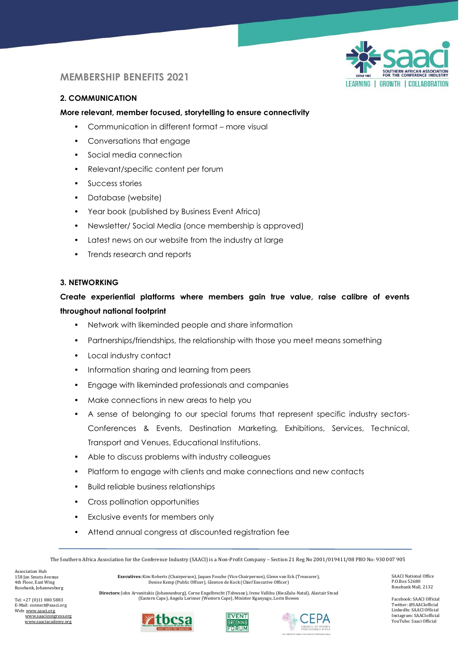

# **MEMBERSHIP BENEFITS 2021**

## **2. COMMUNICATION**

#### **More relevant, member focused, storytelling to ensure connectivity**

- Communication in different format more visual
- Conversations that engage
- Social media connection
- Relevant/specific content per forum
- Success stories
- Database (website)
- Year book (published by Business Event Africa)
- Newsletter/ Social Media (once membership is approved)
- Latest news on our website from the industry at large
- Trends research and reports

#### **3. NETWORKING**

## **Create experiential platforms where members gain true value, raise calibre of events throughout national footprint**

- Network with likeminded people and share information
- Partnerships/friendships, the relationship with those you meet means something
- Local industry contact
- Information sharing and learning from peers
- Engage with likeminded professionals and companies
- Make connections in new areas to help you
- A sense of belonging to our special forums that represent specific industry sectors-Conferences & Events, Destination Marketing, Exhibitions, Services, Technical, Transport and Venues, Educational Institutions.
- Able to discuss problems with industry colleagues
- Platform to engage with clients and make connections and new contacts
- Build reliable business relationships
- Cross pollination opportunities
- Exclusive events for members only
- Attend annual congress at discounted registration fee

The Southern Africa Association for the Conference Industry (SAACI) is a Non-Profit Company – Section 21 Reg No 2001/019411/08 PBO No: 930 007 905

Association Hub 158 Jan Smuts Avenue 4th Floor, East Wing Rosebank, Johannesburg

Tel: +27 (0)11 880 5883 E-Mail: connect@saaci.org Web[: www.saaci.org](http://www.saaci.org/) www.saacicongress www.saaciacademy.org **Executives:** Kim Roberts (Chairperson), Jaques Fouche (Vice Chairperson), Glenn van Eck (Treasurer), Denise Kemp (Public Officer), Glenton de Kock (Chief Executive Officer)

**Directors:** John Arvanitakis (Johannesburg), Corne Engelbrecht (Tshwane), Irene Vallihu (KwaZulu-Natal), Alastair Stead (Eastern Cape), Angela Lorimer (Western Cape), Minister Kganyago, Lorin Bowen







SAACI National Office P.O.Box 52680 Rosebank Mall, 2132

Facebook: SAACI Official Twitter: @SAACIofficial LinkedIn: SAACI Official Instagram: SAACIofficial YouTube: Saaci Official